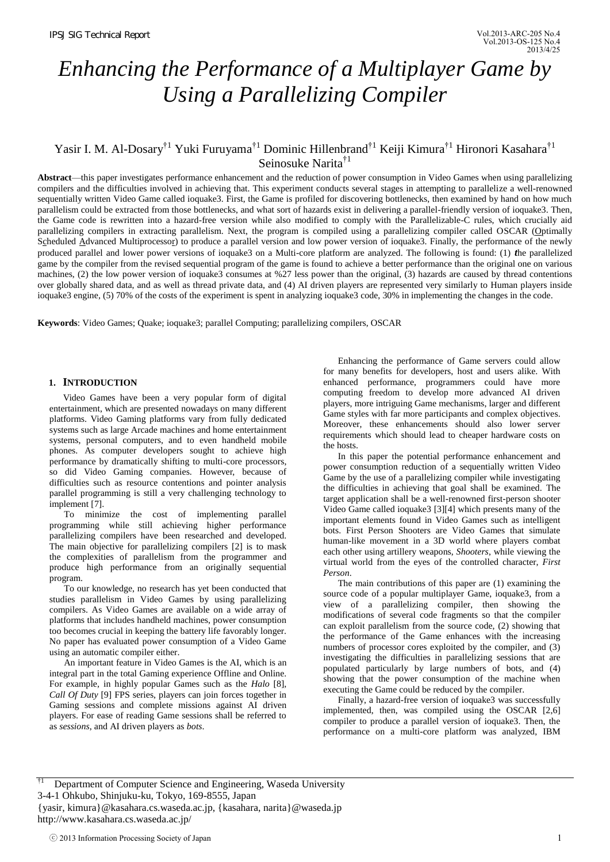# *Enhancing the Performance of a Multiplayer Game by Using a Parallelizing Compiler*

## Yasir I. M. Al-Dosary<sup>†1</sup> Yuki Furuyama<sup>†1</sup> Dominic Hillenbrand<sup>†1</sup> Keiji Kimura<sup>†1</sup> Hironori Kasahara<sup>†1</sup> Seinosuke Narita†1

**Abstract**—this paper investigates performance enhancement and the reduction of power consumption in Video Games when using parallelizing compilers and the difficulties involved in achieving that. This experiment conducts several stages in attempting to parallelize a well-renowned sequentially written Video Game called ioquake3. First, the Game is profiled for discovering bottlenecks, then examined by hand on how much parallelism could be extracted from those bottlenecks, and what sort of hazards exist in delivering a parallel-friendly version of ioquake3. Then, the Game code is rewritten into a hazard-free version while also modified to comply with the Parallelizable-C rules, which crucially aid parallelizing compilers in extracting parallelism. Next, the program is compiled using a parallelizing compiler called OSCAR (Optimally Scheduled Advanced Multiprocessor) to produce a parallel version and low power version of ioquake3. Finally, the performance of the newly produced parallel and lower power versions of ioquake3 on a Multi-core platform are analyzed. The following is found: (1) *t*he parallelized game by the compiler from the revised sequential program of the game is found to achieve a better performance than the original one on various machines, (2) the low power version of ioquake3 consumes at %27 less power than the original, (3) hazards are caused by thread contentions over globally shared data, and as well as thread private data, and (4) AI driven players are represented very similarly to Human players inside ioquake3 engine, (5) 70% of the costs of the experiment is spent in analyzing ioquake3 code, 30% in implementing the changes in the code.

**Keywords**: Video Games; Quake; ioquake3; parallel Computing; parallelizing compilers, OSCAR

## **1. INTRODUCTION**

 Video Games have been a very popular form of digital entertainment, which are presented nowadays on many different platforms. Video Gaming platforms vary from fully dedicated systems such as large Arcade machines and home entertainment systems, personal computers, and to even handheld mobile phones. As computer developers sought to achieve high performance by dramatically shifting to multi-core processors, so did Video Gaming companies. However, because of difficulties such as resource contentions and pointer analysis parallel programming is still a very challenging technology to implement [7].

To minimize the cost of implementing parallel programming while still achieving higher performance parallelizing compilers have been researched and developed. The main objective for parallelizing compilers [2] is to mask the complexities of parallelism from the programmer and produce high performance from an originally sequential program.

To our knowledge, no research has yet been conducted that studies parallelism in Video Games by using parallelizing compilers. As Video Games are available on a wide array of platforms that includes handheld machines, power consumption too becomes crucial in keeping the battery life favorably longer. No paper has evaluated power consumption of a Video Game using an automatic compiler either.

An important feature in Video Games is the AI, which is an integral part in the total Gaming experience Offline and Online. For example, in highly popular Games such as the *Halo* [8], *Call Of Duty* [9] FPS series, players can join forces together in Gaming sessions and complete missions against AI driven players. For ease of reading Game sessions shall be referred to as *sessions*, and AI driven players as *bots*.

Enhancing the performance of Game servers could allow for many benefits for developers, host and users alike. With enhanced performance, programmers could have more computing freedom to develop more advanced AI driven players, more intriguing Game mechanisms, larger and different Game styles with far more participants and complex objectives. Moreover, these enhancements should also lower server requirements which should lead to cheaper hardware costs on the hosts.

In this paper the potential performance enhancement and power consumption reduction of a sequentially written Video Game by the use of a parallelizing compiler while investigating the difficulties in achieving that goal shall be examined. The target application shall be a well-renowned first-person shooter Video Game called ioquake3 [3][4] which presents many of the important elements found in Video Games such as intelligent bots. First Person Shooters are Video Games that simulate human-like movement in a 3D world where players combat each other using artillery weapons, *Shooters*, while viewing the virtual world from the eyes of the controlled character, *First Person*.

The main contributions of this paper are (1) examining the source code of a popular multiplayer Game, ioquake3, from a view of a parallelizing compiler, then showing the modifications of several code fragments so that the compiler can exploit parallelism from the source code, (2) showing that the performance of the Game enhances with the increasing numbers of processor cores exploited by the compiler, and (3) investigating the difficulties in parallelizing sessions that are populated particularly by large numbers of bots, and (4) showing that the power consumption of the machine when executing the Game could be reduced by the compiler.

Finally, a hazard-free version of ioquake3 was successfully implemented, then, was compiled using the OSCAR [2,6] compiler to produce a parallel version of ioquake3. Then, the performance on a multi-core platform was analyzed, IBM

†1 Department of Computer Science and Engineering, Waseda University 3-4-1 Ohkubo, Shinjuku-ku, Tokyo, 169-8555, Japan {yasir, kimura}@kasahara.cs.waseda.ac.jp, {kasahara, narita}@waseda.jp http://www.kasahara.cs.waseda.ac.jp/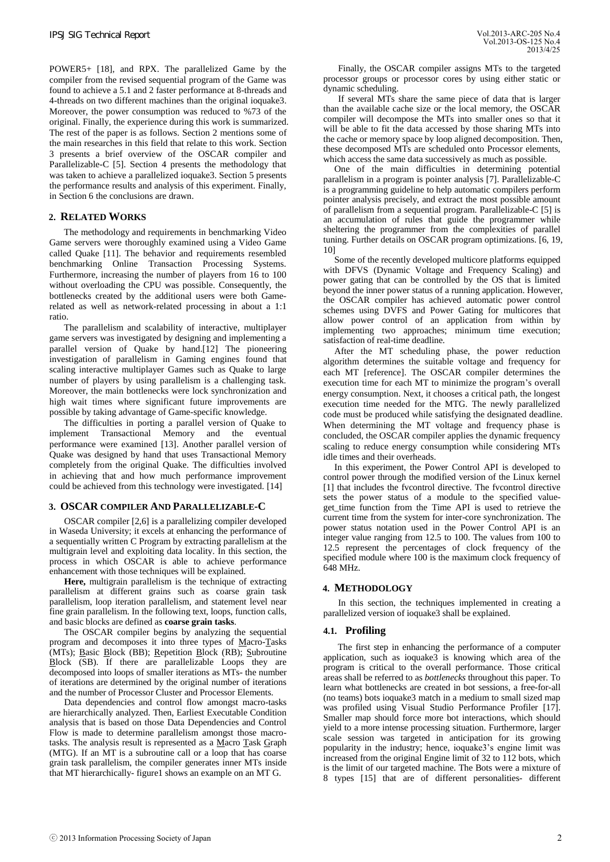POWER5+ [18], and RPX. The parallelized Game by the compiler from the revised sequential program of the Game was found to achieve a 5.1 and 2 faster performance at 8-threads and 4-threads on two different machines than the original ioquake3. Moreover, the power consumption was reduced to %73 of the original. Finally, the experience during this work is summarized. The rest of the paper is as follows. Section 2 mentions some of the main researches in this field that relate to this work. Section 3 presents a brief overview of the OSCAR compiler and Parallelizable-C [5]. Section 4 presents the methodology that was taken to achieve a parallelized ioquake3. Section 5 presents the performance results and analysis of this experiment. Finally, in Section 6 the conclusions are drawn.

## **2. RELATED WORKS**

The methodology and requirements in benchmarking Video Game servers were thoroughly examined using a Video Game called Quake [11]. The behavior and requirements resembled benchmarking Online Transaction Processing Systems. Furthermore, increasing the number of players from 16 to 100 without overloading the CPU was possible. Consequently, the bottlenecks created by the additional users were both Gamerelated as well as network-related processing in about a 1:1 ratio.

The parallelism and scalability of interactive, multiplayer game servers was investigated by designing and implementing a parallel version of Quake by hand.[12] The pioneering investigation of parallelism in Gaming engines found that scaling interactive multiplayer Games such as Quake to large number of players by using parallelism is a challenging task. Moreover, the main bottlenecks were lock synchronization and high wait times where significant future improvements are possible by taking advantage of Game-specific knowledge.

The difficulties in porting a parallel version of Quake to implement Transactional Memory and the eventual performance were examined [13]. Another parallel version of Quake was designed by hand that uses Transactional Memory completely from the original Quake. The difficulties involved in achieving that and how much performance improvement could be achieved from this technology were investigated. [14]

## **3. OSCAR COMPILER AND PARALLELIZABLE-C**

OSCAR compiler [2,6] is a parallelizing compiler developed in Waseda University; it excels at enhancing the performance of a sequentially written C Program by extracting parallelism at the multigrain level and exploiting data locality. In this section, the process in which OSCAR is able to achieve performance enhancement with those techniques will be explained.

**Here,** multigrain parallelism is the technique of extracting parallelism at different grains such as coarse grain task parallelism, loop iteration parallelism, and statement level near fine grain parallelism. In the following text, loops, function calls, and basic blocks are defined as **coarse grain tasks**.

The OSCAR compiler begins by analyzing the sequential program and decomposes it into three types of Macro-Tasks (MTs); <u>Basic Block (BB); Repetition Block</u> (RB); Subroutine Block (SB). If there are parallelizable Loops they are decomposed into loops of smaller iterations as MTs- the number of iterations are determined by the original number of iterations and the number of Processor Cluster and Processor Elements.

Data dependencies and control flow amongst macro-tasks are hierarchically analyzed. Then, Earliest Executable Condition analysis that is based on those Data Dependencies and Control Flow is made to determine parallelism amongst those macrotasks. The analysis result is represented as a Macro Task Graph (MTG). If an MT is a subroutine call or a loop that has coarse grain task parallelism, the compiler generates inner MTs inside that MT hierarchically- figure1 shows an example on an MT G.

Finally, the OSCAR compiler assigns MTs to the targeted processor groups or processor cores by using either static or dynamic scheduling.

If several MTs share the same piece of data that is larger than the available cache size or the local memory, the OSCAR compiler will decompose the MTs into smaller ones so that it will be able to fit the data accessed by those sharing MTs into the cache or memory space by loop aligned decomposition. Then, these decomposed MTs are scheduled onto Processor elements, which access the same data successively as much as possible.

One of the main difficulties in determining potential parallelism in a program is pointer analysis [7]. Parallelizable-C is a programming guideline to help automatic compilers perform pointer analysis precisely, and extract the most possible amount of parallelism from a sequential program. Parallelizable-C [5] is an accumulation of rules that guide the programmer while sheltering the programmer from the complexities of parallel tuning. Further details on OSCAR program optimizations. [6, 19, 10]

Some of the recently developed multicore platforms equipped with DFVS (Dynamic Voltage and Frequency Scaling) and power gating that can be controlled by the OS that is limited beyond the inner power status of a running application. However, the OSCAR compiler has achieved automatic power control schemes using DVFS and Power Gating for multicores that allow power control of an application from within by implementing two approaches; minimum time execution; satisfaction of real-time deadline.

After the MT scheduling phase, the power reduction algorithm determines the suitable voltage and frequency for each MT [reference]. The OSCAR compiler determines the execution time for each MT to minimize the program's overall energy consumption. Next, it chooses a critical path, the longest execution time needed for the MTG. The newly parallelized code must be produced while satisfying the designated deadline. When determining the MT voltage and frequency phase is concluded, the OSCAR compiler applies the dynamic frequency scaling to reduce energy consumption while considering MTs idle times and their overheads.

In this experiment, the Power Control API is developed to control power through the modified version of the Linux kernel [1] that includes the fvcontrol directive. The fvcontrol directive sets the power status of a module to the specified valueget\_time function from the Time API is used to retrieve the current time from the system for inter-core synchronization. The power status notation used in the Power Control API is an integer value ranging from 12.5 to 100. The values from 100 to 12.5 represent the percentages of clock frequency of the specified module where 100 is the maximum clock frequency of 648 MHz.

## **4. METHODOLOGY**

In this section, the techniques implemented in creating a parallelized version of ioquake3 shall be explained.

## **4.1. Profiling**

The first step in enhancing the performance of a computer application, such as ioquake3 is knowing which area of the program is critical to the overall performance. Those critical areas shall be referred to as *bottlenecks* throughout this paper. To learn what bottlenecks are created in bot sessions, a free-for-all (no teams) bots ioquake3 match in a medium to small sized map was profiled using Visual Studio Performance Profiler [17]. Smaller map should force more bot interactions, which should yield to a more intense processing situation. Furthermore, larger scale session was targeted in anticipation for its growing popularity in the industry; hence, ioquake3's engine limit was increased from the original Engine limit of 32 to 112 bots, which is the limit of our targeted machine. The Bots were a mixture of 8 types [15] that are of different personalities- different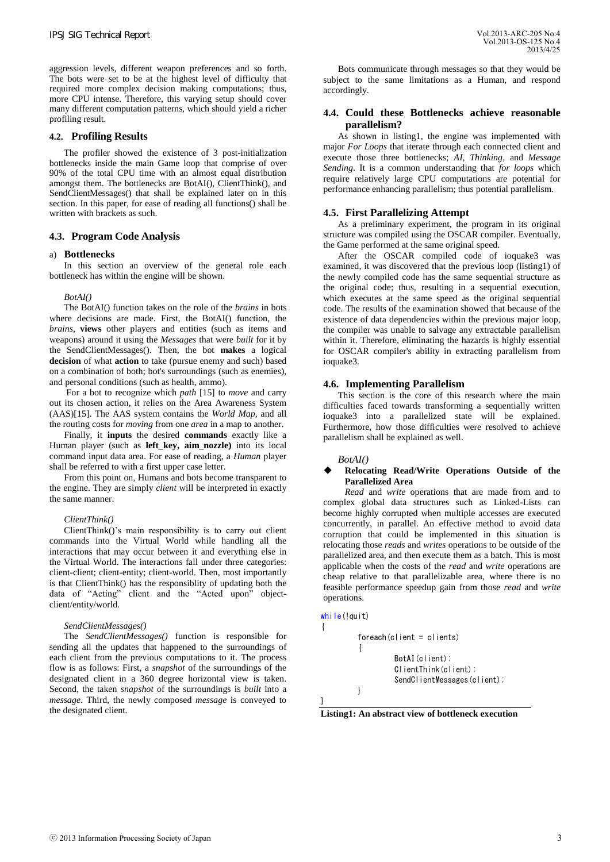aggression levels, different weapon preferences and so forth. The bots were set to be at the highest level of difficulty that required more complex decision making computations; thus, more CPU intense. Therefore, this varying setup should cover many different computation patterns, which should yield a richer profiling result.

## **4.2. Profiling Results**

The profiler showed the existence of 3 post-initialization bottlenecks inside the main Game loop that comprise of over 90% of the total CPU time with an almost equal distribution amongst them. The bottlenecks are BotAI(), ClientThink(), and SendClientMessages() that shall be explained later on in this section. In this paper, for ease of reading all functions() shall be written with brackets as such.

## **4.3. Program Code Analysis**

#### a) **Bottlenecks**

In this section an overview of the general role each bottleneck has within the engine will be shown.

#### *BotAI()*

The BotAI() function takes on the role of the *brains* in bots where decisions are made. First, the BotAI() function, the *brains*, **views** other players and entities (such as items and weapons) around it using the *Messages* that were *built* for it by the SendClientMessages(). Then, the bot **makes** a logical **decision** of what **action** to take (pursue enemy and such) based on a combination of both; bot's surroundings (such as enemies), and personal conditions (such as health, ammo).

 For a bot to recognize which *path* [15] to *move* and carry out its chosen action, it relies on the Area Awareness System (AAS)[15]. The AAS system contains the *World Map*, and all the routing costs for *moving* from one *area* in a map to another.

Finally, it **inputs** the desired **commands** exactly like a Human player (such as **left key, aim nozzle**) into its local command input data area. For ease of reading, a *Human* player shall be referred to with a first upper case letter.

From this point on, Humans and bots become transparent to the engine. They are simply *client* will be interpreted in exactly the same manner.

## *ClientThink()*

ClientThink()'s main responsibility is to carry out client commands into the Virtual World while handling all the interactions that may occur between it and everything else in the Virtual World. The interactions fall under three categories: client-client; client-entity; client-world. Then, most importantly is that ClientThink() has the responsiblity of updating both the data of "Acting" client and the "Acted upon" objectclient/entity/world.

#### *SendClientMessages()*

The *SendClientMessages()* function is responsible for sending all the updates that happened to the surroundings of each client from the previous computations to it. The process flow is as follows: First, a *snapshot* of the surroundings of the designated client in a 360 degree horizontal view is taken. Second, the taken *snapshot* of the surroundings is *built* into a *message*. Third, the newly composed *message* is conveyed to the designated client.

Bots communicate through messages so that they would be subject to the same limitations as a Human, and respond accordingly.

## **4.4. Could these Bottlenecks achieve reasonable parallelism?**

As shown in listing1, the engine was implemented with major *For Loops* that iterate through each connected client and execute those three bottlenecks; *AI*, *Thinking,* and *Message Sending*. It is a common understanding that *for loops* which require relatively large CPU computations are potential for performance enhancing parallelism; thus potential parallelism.

## **4.5. First Parallelizing Attempt**

As a preliminary experiment, the program in its original structure was compiled using the OSCAR compiler. Eventually, the Game performed at the same original speed.

After the OSCAR compiled code of ioquake3 was examined, it was discovered that the previous loop (listing1) of the newly compiled code has the same sequential structure as the original code; thus, resulting in a sequential execution, which executes at the same speed as the original sequential code. The results of the examination showed that because of the existence of data dependencies within the previous major loop, the compiler was unable to salvage any extractable parallelism within it. Therefore, eliminating the hazards is highly essential for OSCAR compiler's ability in extracting parallelism from ioquake3.

## **4.6. Implementing Parallelism**

This section is the core of this research where the main difficulties faced towards transforming a sequentially written ioquake3 into a parallelized state will be explained. Furthermore, how those difficulties were resolved to achieve parallelism shall be explained as well.

#### *BotAI()*

}

#### **Relocating Read/Write Operations Outside of the Parallelized Area**

*Read* and *write* operations that are made from and to complex global data structures such as Linked-Lists can become highly corrupted when multiple accesses are executed concurrently, in parallel. An effective method to avoid data corruption that could be implemented in this situation is relocating those *reads* and *writes* operations to be outside of the parallelized area, and then execute them as a batch. This is most applicable when the costs of the *read* and *write* operations are cheap relative to that parallelizable area, where there is no feasible performance speedup gain from those *read* and *write* operations.

```
while(!quit)
{
         foreach(client = clients)
         {
                   BotAI(client);
                   ClientThink(client);
                   SendClientMessages(client);
         }
```
## **Listing1: An abstract view of bottleneck execution**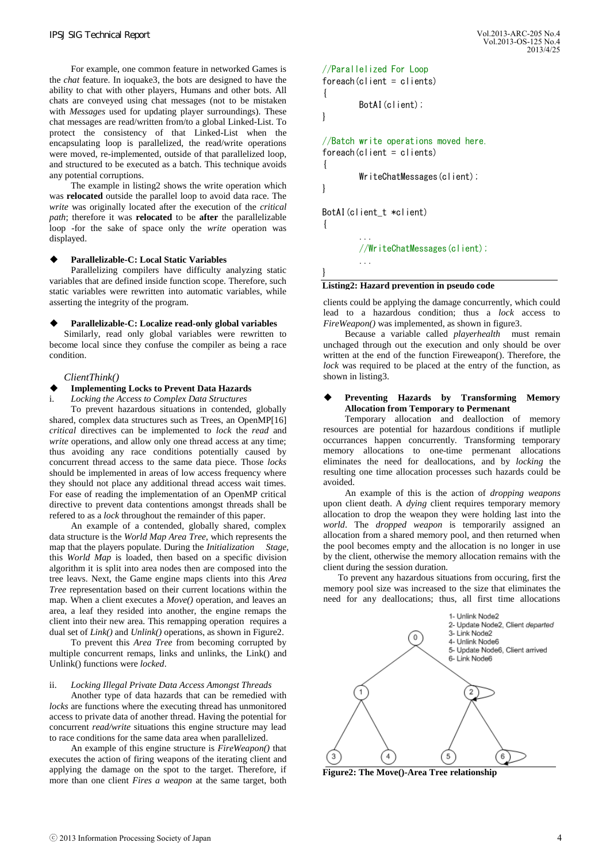For example, one common feature in networked Games is the *chat* feature. In ioquake3, the bots are designed to have the ability to chat with other players, Humans and other bots. All chats are conveyed using chat messages (not to be mistaken with *Messages* used for updating player surroundings). These chat messages are read/written from/to a global Linked-List. To protect the consistency of that Linked-List when the encapsulating loop is parallelized, the read/write operations were moved, re-implemented, outside of that parallelized loop, and structured to be executed as a batch. This technique avoids any potential corruptions.

The example in listing2 shows the write operation which was **relocated** outside the parallel loop to avoid data race. The *write* was originally located after the execution of the *critical path*; therefore it was **relocated** to be **after** the parallelizable loop -for the sake of space only the *write* operation was displayed.

**Parallelizable-C: Local Static Variables**

Parallelizing compilers have difficulty analyzing static variables that are defined inside function scope. Therefore, such static variables were rewritten into automatic variables, while asserting the integrity of the program.

#### **Parallelizable-C: Localize read-only global variables**

Similarly, read only global variables were rewritten to become local since they confuse the compiler as being a race condition.

## *ClientThink()*

**Implementing Locks to Prevent Data Hazards**

Locking the Access to Complex Data Structures

To prevent hazardous situations in contended, globally shared, complex data structures such as Trees, an OpenMP[16] *critical* directives can be implemented to *lock* the *read* and *write* operations, and allow only one thread access at any time; thus avoiding any race conditions potentially caused by concurrent thread access to the same data piece. Those *locks* should be implemented in areas of low access frequency where they should not place any additional thread access wait times. For ease of reading the implementation of an OpenMP critical directive to prevent data contentions amongst threads shall be refered to as a *lock* throughout the remainder of this paper.

An example of a contended, globally shared, complex data structure is the *World Map Area Tree*, which represents the map that the players populate. During the *Initialization Stage,* this *World Map* is loaded, then based on a specific division algorithm it is split into area nodes then are composed into the tree leavs. Next, the Game engine maps clients into this *Area Tree* representation based on their current locations within the map*.* When a client executes a *Move()* operation, and leaves an area, a leaf they resided into another, the engine remaps the client into their new area. This remapping operation requires a dual set of *Link()* and *Unlink()* operations, as shown in Figure2.

To prevent this *Area Tree* from becoming corrupted by multiple concurrent remaps, links and unlinks, the Link() and Unlink() functions were *locked*.

#### ii. *Locking Illegal Private Data Access Amongst Threads*

Another type of data hazards that can be remedied with *locks* are functions where the executing thread has unmonitored access to private data of another thread. Having the potential for concurrent *read/write* situations this engine structure may lead to race conditions for the same data area when parallelized.

An example of this engine structure is *FireWeapon()* that executes the action of firing weapons of the iterating client and applying the damage on the spot to the target. Therefore, if more than one client *Fires a weapon* at the same target, both

```
//Parallelized For Loop
foreach(client = clients)
{
        BotAI(client);
}
//Batch write operations moved here.
foreach(client = clients)
{
        WriteChatMessages(client);
}
BotAI(client t *client)
{
        ...
        //WriteChatMessages(client);
        ...
}
```
#### **Listing2: Hazard prevention in pseudo code**

clients could be applying the damage concurrently, which could lead to a hazardous condition; thus a *lock* access to *FireWeapon()* was implemented, as shown in figure3.

Because a variable called *playerhealth* must remain unchaged through out the execution and only should be over written at the end of the function Fireweapon(). Therefore, the *lock* was required to be placed at the entry of the function, as shown in listing3.

## **Preventing Hazards by Transforming Memory Allocation from Temporary to Permenant**

Temporary allocation and dealloction of memory resources are potential for hazardous conditions if mutliple occurrances happen concurrently. Transforming temporary memory allocations to one-time permenant allocations eliminates the need for deallocations, and by *locking* the resulting one time allocation processes such hazards could be avoided.

An example of this is the action of *dropping weapons* upon client death. A *dying* client requires temporary memory allocation to drop the weapon they were holding last into the *world*. The *dropped weapon* is temporarily assigned an allocation from a shared memory pool, and then returned when the pool becomes empty and the allocation is no longer in use by the client, otherwise the memory allocation remains with the client during the session duration.

To prevent any hazardous situations from occuring, first the memory pool size was increased to the size that eliminates the need for any deallocations; thus, all first time allocations



**Figure2: The Move()-Area Tree relationship**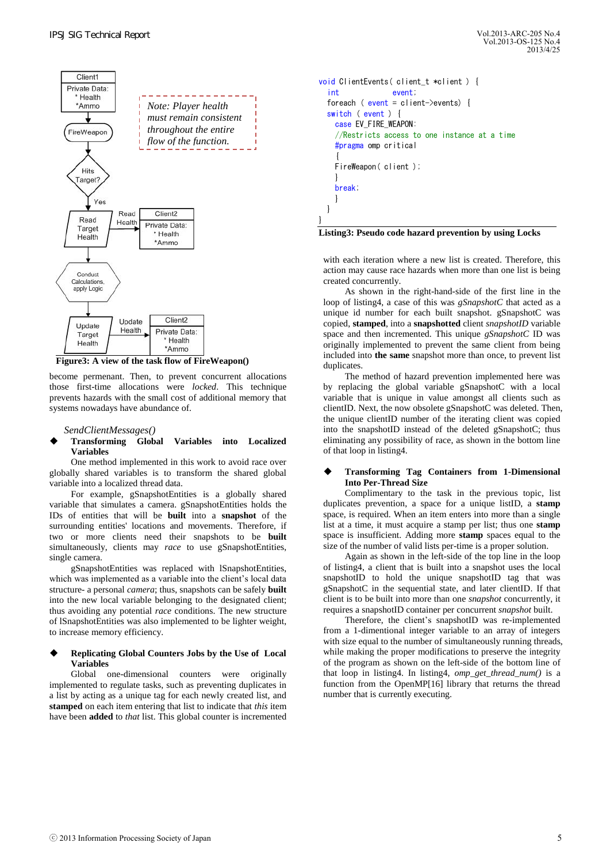

**Figure3: A view of the task flow of FireWeapon()** 

become permenant. Then, to prevent concurrent allocations those first-time allocations were *locked*. This technique prevents hazards with the small cost of additional memory that systems nowadays have abundance of.

#### *SendClientMessages()*

 **Transforming Global Variables into Localized Variables**

One method implemented in this work to avoid race over globally shared variables is to transform the shared global variable into a localized thread data.

For example, gSnapshotEntities is a globally shared variable that simulates a camera. gSnapshotEntities holds the IDs of entities that will be **built** into a **snapshot** of the surrounding entities' locations and movements. Therefore, if two or more clients need their snapshots to be **built** simultaneously, clients may *race* to use gSnapshotEntities, single camera.

gSnapshotEntities was replaced with lSnapshotEntities, which was implemented as a variable into the client's local data structure- a personal *camera*; thus, snapshots can be safely **built**  into the new local variable belonging to the designated client; thus avoiding any potential *race* conditions. The new structure of lSnapshotEntities was also implemented to be lighter weight, to increase memory efficiency.

## **Replicating Global Counters Jobs by the Use of Local Variables**

Global one-dimensional counters were originally implemented to regulate tasks, such as preventing duplicates in a list by acting as a unique tag for each newly created list, and **stamped** on each item entering that list to indicate that *this* item have been **added** to *that* list. This global counter is incremented

```
void ClientEvents( client_t *client ) {
 int event;
 foreach (event = client) {
 switch ( event ) {
   case EV_FIRE_WEAPON:
   //Restricts access to one instance at a time
   #pragma omp critical
   {
   FireWeapon( client );
   }
   break;
   }
 }
}
```
**Listing3: Pseudo code hazard prevention by using Locks**

with each iteration where a new list is created. Therefore, this action may cause race hazards when more than one list is being created concurrently.

As shown in the right-hand-side of the first line in the loop of listing4, a case of this was *gSnapshotC* that acted as a unique id number for each built snapshot. gSnapshotC was copied, **stamped**, into a **snapshotted** client *snapshotID* variable space and then incremented. This unique *gSnapshotC* ID was originally implemented to prevent the same client from being included into **the same** snapshot more than once, to prevent list duplicates.

The method of hazard prevention implemented here was by replacing the global variable gSnapshotC with a local variable that is unique in value amongst all clients such as clientID. Next, the now obsolete gSnapshotC was deleted. Then, the unique clientID number of the iterating client was copied into the snapshotID instead of the deleted gSnapshotC; thus eliminating any possibility of race, as shown in the bottom line of that loop in listing4.

## **Transforming Tag Containers from 1-Dimensional Into Per-Thread Size**

Complimentary to the task in the previous topic, list duplicates prevention, a space for a unique listID, a **stamp** space, is required. When an item enters into more than a single list at a time, it must acquire a stamp per list; thus one **stamp** space is insufficient. Adding more **stamp** spaces equal to the size of the number of valid lists per-time is a proper solution.

Again as shown in the left-side of the top line in the loop of listing4, a client that is built into a snapshot uses the local snapshotID to hold the unique snapshotID tag that was gSnapshotC in the sequential state, and later clientID. If that client is to be built into more than one *snapshot* concurrently, it requires a snapshotID container per concurrent *snapshot* built.

Therefore, the client's snapshotID was re-implemented from a 1-dimentional integer variable to an array of integers with size equal to the number of simultaneously running threads, while making the proper modifications to preserve the integrity of the program as shown on the left-side of the bottom line of that loop in listing4. In listing4, *omp\_get\_thread\_num()* is a function from the OpenMP[16] library that returns the thread number that is currently executing.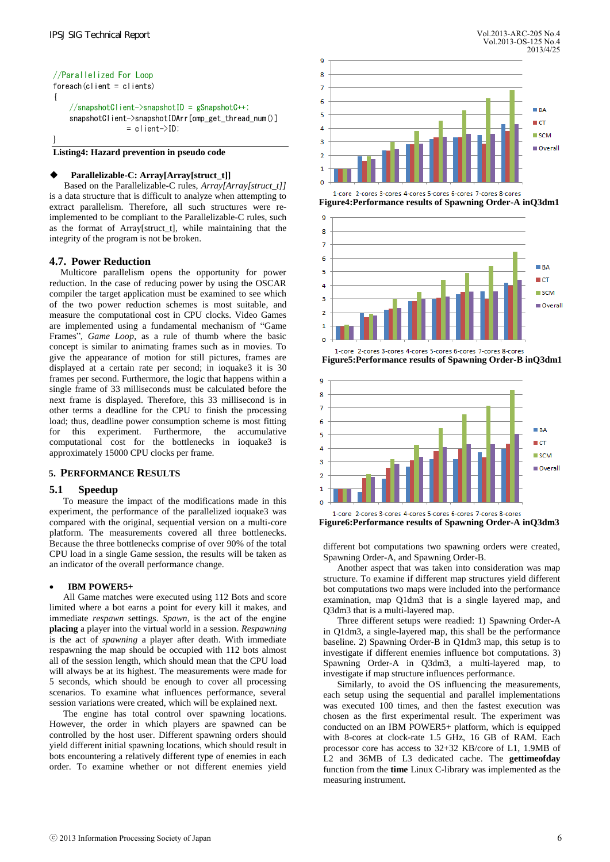//Parallelized For Loop foreach(client = clients) { //snapshotClient->snapshotID = gSnapshotC++; snapshotClient->snapshotIDArr[omp\_get\_thread\_num()]  $= c$ lient->ID; }

**Listing4: Hazard prevention in pseudo code**

## **Parallelizable-C: Array[Array[struct\_t]]**

Based on the Parallelizable-C rules, *Array[Array[struct\_t]]* is a data structure that is difficult to analyze when attempting to extract parallelism. Therefore, all such structures were reimplemented to be compliant to the Parallelizable-C rules, such as the format of Array[struct\_t], while maintaining that the integrity of the program is not be broken.

## **4.7. Power Reduction**

Multicore parallelism opens the opportunity for power reduction. In the case of reducing power by using the OSCAR compiler the target application must be examined to see which of the two power reduction schemes is most suitable, and measure the computational cost in CPU clocks. Video Games are implemented using a fundamental mechanism of "Game Frames", *Game Loop*, as a rule of thumb where the basic concept is similar to animating frames such as in movies. To give the appearance of motion for still pictures, frames are displayed at a certain rate per second; in ioquake3 it is 30 frames per second. Furthermore, the logic that happens within a single frame of 33 milliseconds must be calculated before the next frame is displayed. Therefore, this 33 millisecond is in other terms a deadline for the CPU to finish the processing load; thus, deadline power consumption scheme is most fitting for this experiment. Furthermore, the accumulative computational cost for the bottlenecks in ioquake3 is approximately 15000 CPU clocks per frame.

#### **5. PERFORMANCE RESULTS**

#### **5.1 Speedup**

To measure the impact of the modifications made in this experiment, the performance of the parallelized ioquake3 was compared with the original, sequential version on a multi-core platform. The measurements covered all three bottlenecks. Because the three bottlenecks comprise of over 90% of the total CPU load in a single Game session, the results will be taken as an indicator of the overall performance change.

#### **IBM POWER5+**

All Game matches were executed using 112 Bots and score limited where a bot earns a point for every kill it makes, and immediate *respawn* settings. *Spawn*, is the act of the engine **placing** a player into the virtual world in a session. *Respawning* is the act of *spawning* a player after death. With immediate respawning the map should be occupied with 112 bots almost all of the session length, which should mean that the CPU load will always be at its highest. The measurements were made for 5 seconds, which should be enough to cover all processing scenarios. To examine what influences performance, several session variations were created, which will be explained next.

The engine has total control over spawning locations. However, the order in which players are spawned can be controlled by the host user. Different spawning orders should yield different initial spawning locations, which should result in bots encountering a relatively different type of enemies in each order. To examine whether or not different enemies yield



#### 1-core 2-cores 3-cores 4-cores 5-cores 6-cores 7-cores 8-cores **Figure4:Performance results of Spawning Order-A inQ3dm1**



**Figure5:Performance results of Spawning Order-B inQ3dm1**



1-core 2-cores 3-cores 4-cores 5-cores 6-cores 7-cores 8-cores **Figure6:Performance results of Spawning Order-A inQ3dm3**

different bot computations two spawning orders were created, Spawning Order-A, and Spawning Order-B.

Another aspect that was taken into consideration was map structure. To examine if different map structures yield different bot computations two maps were included into the performance examination, map Q1dm3 that is a single layered map, and Q3dm3 that is a multi-layered map.

Three different setups were readied: 1) Spawning Order-A in Q1dm3, a single-layered map, this shall be the performance baseline. 2) Spawning Order-B in Q1dm3 map, this setup is to investigate if different enemies influence bot computations. 3) Spawning Order-A in Q3dm3, a multi-layered map, to investigate if map structure influences performance.

Similarly, to avoid the OS influencing the measurements, each setup using the sequential and parallel implementations was executed 100 times, and then the fastest execution was chosen as the first experimental result. The experiment was conducted on an IBM POWER5+ platform, which is equipped with 8-cores at clock-rate 1.5 GHz, 16 GB of RAM. Each processor core has access to 32+32 KB/core of L1, 1.9MB of L2 and 36MB of L3 dedicated cache. The **gettimeofday** function from the **time** Linux C-library was implemented as the measuring instrument.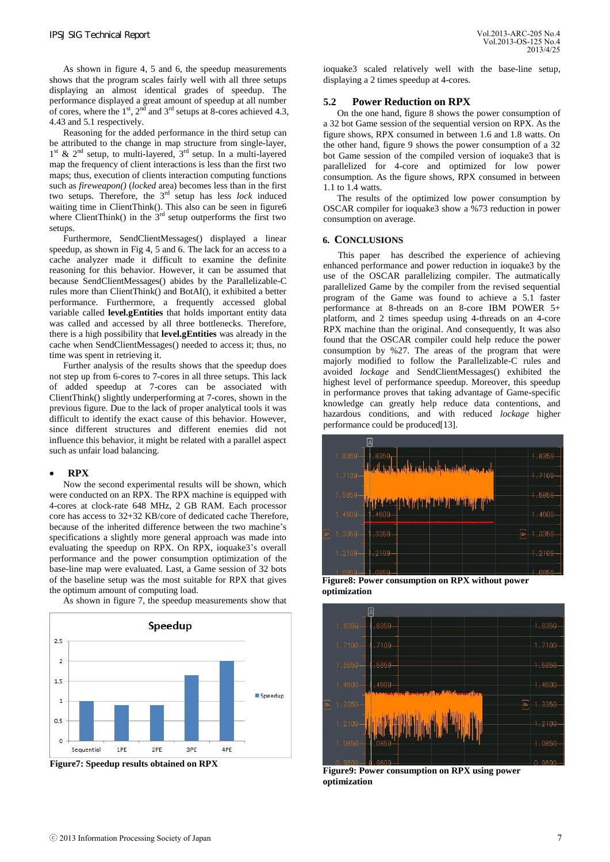As shown in figure 4, 5 and 6, the speedup measurements shows that the program scales fairly well with all three setups displaying an almost identical grades of speedup. The performance displayed a great amount of speedup at all number of cores, where the 1<sup>st</sup>, 2<sup>nd</sup> and 3<sup>rd</sup> setups at 8-cores achieved 4.3, 4.43 and 5.1 respectively.

Reasoning for the added performance in the third setup can be attributed to the change in map structure from single-layer, 1<sup>st</sup> & 2<sup>nd</sup> setup, to multi-layered, 3<sup>rd</sup> setup. In a multi-layered map the frequency of client interactions is less than the first two maps; thus, execution of clients interaction computing functions such as *fireweapon()* (*locked* area) becomes less than in the first two setups. Therefore, the 3rd setup has less *lock* induced waiting time in ClientThink(). This also can be seen in figure6 where ClientThink() in the  $3<sup>rd</sup>$  setup outperforms the first two setups.

Furthermore, SendClientMessages() displayed a linear speedup, as shown in Fig 4, 5 and 6. The lack for an access to a cache analyzer made it difficult to examine the definite reasoning for this behavior. However, it can be assumed that because SendClientMessages() abides by the Parallelizable-C rules more than ClientThink() and BotAI(), it exhibited a better performance. Furthermore, a frequently accessed global variable called **level.gEntities** that holds important entity data was called and accessed by all three bottlenecks. Therefore, there is a high possibility that **level.gEntities** was already in the cache when SendClientMessages() needed to access it; thus, no time was spent in retrieving it.

Further analysis of the results shows that the speedup does not step up from 6-cores to 7-cores in all three setups. This lack of added speedup at 7-cores can be associated with ClientThink() slightly underperforming at 7-cores, shown in the previous figure. Due to the lack of proper analytical tools it was difficult to identify the exact cause of this behavior. However, since different structures and different enemies did not influence this behavior, it might be related with a parallel aspect such as unfair load balancing.

#### **RPX**

Now the second experimental results will be shown, which were conducted on an RPX. The RPX machine is equipped with 4-cores at clock-rate 648 MHz, 2 GB RAM. Each processor core has access to 32+32 KB/core of dedicated cache Therefore, because of the inherited difference between the two machine's specifications a slightly more general approach was made into evaluating the speedup on RPX. On RPX, ioquake3's overall performance and the power consumption optimization of the base-line map were evaluated. Last, a Game session of 32 bots of the baseline setup was the most suitable for RPX that gives the optimum amount of computing load.

As shown in figure 7, the speedup measurements show that



**Figure7: Speedup results obtained on RPX**

ioquake3 scaled relatively well with the base-line setup, displaying a 2 times speedup at 4-cores.

#### **5.2 Power Reduction on RPX**

On the one hand, figure 8 shows the power consumption of a 32 bot Game session of the sequential version on RPX. As the figure shows, RPX consumed in between 1.6 and 1.8 watts. On the other hand, figure 9 shows the power consumption of a 32 bot Game session of the compiled version of ioquake3 that is parallelized for 4-core and optimized for low power consumption. As the figure shows, RPX consumed in between 1.1 to 1.4 watts.

The results of the optimized low power consumption by OSCAR compiler for ioquake3 show a %73 reduction in power consumption on average.

## **6. CONCLUSIONS**

This paper has described the experience of achieving enhanced performance and power reduction in ioquake3 by the use of the OSCAR parallelizing compiler. The autmatically parallelized Game by the compiler from the revised sequential program of the Game was found to achieve a 5.1 faster performance at 8-threads on an 8-core IBM POWER 5+ platform, and 2 times speedup using 4-threads on an 4-core RPX machine than the original. And consequently, It was also found that the OSCAR compiler could help reduce the power consumption by %27. The areas of the program that were majorly modified to follow the Parallelizable-C rules and avoided *lockage* and SendClientMessages() exhibited the highest level of performance speedup. Moreover, this speedup in performance proves that taking advantage of Game-specific knowledge can greatly help reduce data contentions, and hazardous conditions, and with reduced *lockage* higher performance could be produced[13].



**Figure8: Power consumption on RPX without power optimization**



**Figure9: Power consumption on RPX using power optimization**